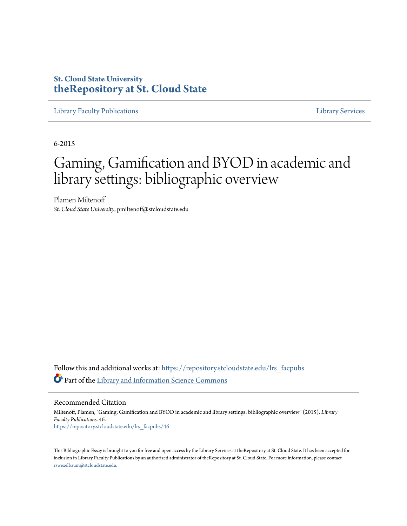# **St. Cloud State University [theRepository at St. Cloud State](https://repository.stcloudstate.edu?utm_source=repository.stcloudstate.edu%2Flrs_facpubs%2F46&utm_medium=PDF&utm_campaign=PDFCoverPages)**

[Library Faculty Publications](https://repository.stcloudstate.edu/lrs_facpubs?utm_source=repository.stcloudstate.edu%2Flrs_facpubs%2F46&utm_medium=PDF&utm_campaign=PDFCoverPages) [Library Services](https://repository.stcloudstate.edu/ls?utm_source=repository.stcloudstate.edu%2Flrs_facpubs%2F46&utm_medium=PDF&utm_campaign=PDFCoverPages)

6-2015

# Gaming, Gamification and BYOD in academic and library settings: bibliographic overview

Plamen Miltenoff *St. Cloud State University*, pmiltenoff@stcloudstate.edu

Follow this and additional works at: [https://repository.stcloudstate.edu/lrs\\_facpubs](https://repository.stcloudstate.edu/lrs_facpubs?utm_source=repository.stcloudstate.edu%2Flrs_facpubs%2F46&utm_medium=PDF&utm_campaign=PDFCoverPages) Part of the [Library and Information Science Commons](http://network.bepress.com/hgg/discipline/1018?utm_source=repository.stcloudstate.edu%2Flrs_facpubs%2F46&utm_medium=PDF&utm_campaign=PDFCoverPages)

Recommended Citation

Miltenoff, Plamen, "Gaming, Gamification and BYOD in academic and library settings: bibliographic overview" (2015). *Library Faculty Publications*. 46. [https://repository.stcloudstate.edu/lrs\\_facpubs/46](https://repository.stcloudstate.edu/lrs_facpubs/46?utm_source=repository.stcloudstate.edu%2Flrs_facpubs%2F46&utm_medium=PDF&utm_campaign=PDFCoverPages)

This Bibliographic Essay is brought to you for free and open access by the Library Services at theRepository at St. Cloud State. It has been accepted for inclusion in Library Faculty Publications by an authorized administrator of theRepository at St. Cloud State. For more information, please contact [rswexelbaum@stcloudstate.edu](mailto:rswexelbaum@stcloudstate.edu).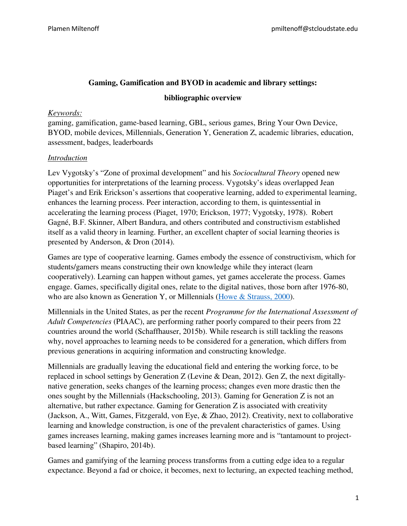## **Gaming, Gamification and BYOD in academic and library settings:**

#### **bibliographic overview**

#### *Keywords:*

gaming, gamification, game-based learning, GBL, serious games, Bring Your Own Device, BYOD, mobile devices, Millennials, Generation Y, Generation Z, academic libraries, education, assessment, badges, leaderboards

#### *Introduction*

Lev Vygotsky's "Zone of proximal development" and his *Sociocultural Theory* opened new opportunities for interpretations of the learning process. Vygotsky's ideas overlapped Jean Piaget's and Erik Erickson's assertions that cooperative learning, added to experimental learning, enhances the learning process. Peer interaction, according to them, is quintessential in accelerating the learning process (Piaget, 1970; Erickson, 1977; Vygotsky, 1978). Robert Gagné, B.F. Skinner, Albert Bandura, and others contributed and constructivism established itself as a valid theory in learning. Further, an excellent chapter of social learning theories is presented by Anderson, & Dron (2014).

Games are type of cooperative learning. Games embody the essence of constructivism, which for students/gamers means constructing their own knowledge while they interact (learn cooperatively). Learning can happen without games, yet games accelerate the process. Games engage. Games, specifically digital ones, relate to the digital natives, those born after 1976-80, who are also known as Generation Y, or Millennials (Howe & Strauss, 2000).

Millennials in the United States, as per the recent *Programme for the International Assessment of Adult Competencies* (PIAAC), are performing rather poorly compared to their peers from 22 countries around the world (Schaffhauser, 2015b). While research is still tackling the reasons why, novel approaches to learning needs to be considered for a generation, which differs from previous generations in acquiring information and constructing knowledge.

Millennials are gradually leaving the educational field and entering the working force, to be replaced in school settings by Generation Z (Levine & Dean, 2012). Gen Z, the next digitallynative generation, seeks changes of the learning process; changes even more drastic then the ones sought by the Millennials (Hackschooling, 2013). Gaming for Generation Z is not an alternative, but rather expectance. Gaming for Generation Z is associated with creativity (Jackson, A., Witt, Games, Fitzgerald, von Eye, & Zhao, 2012). Creativity, next to collaborative learning and knowledge construction, is one of the prevalent characteristics of games. Using games increases learning, making games increases learning more and is "tantamount to projectbased learning" (Shapiro, 2014b).

Games and gamifying of the learning process transforms from a cutting edge idea to a regular expectance. Beyond a fad or choice, it becomes, next to lecturing, an expected teaching method,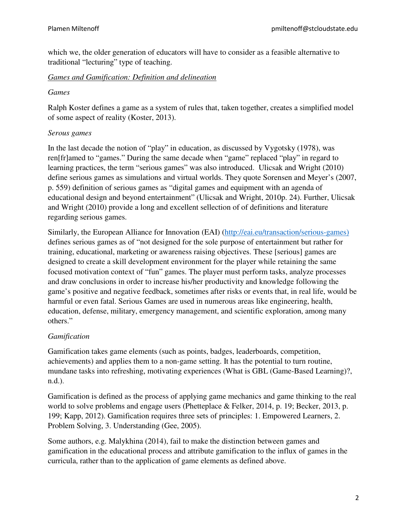which we, the older generation of educators will have to consider as a feasible alternative to traditional "lecturing" type of teaching.

## *Games and Gamification: Definition and delineation*

## *Games*

Ralph Koster defines a game as a system of rules that, taken together, creates a simplified model of some aspect of reality (Koster, 2013).

# *Serous games*

In the last decade the notion of "play" in education, as discussed by Vygotsky (1978), was ren[fr]amed to "games." During the same decade when "game" replaced "play" in regard to learning practices, the term "serious games" was also introduced. Ulicsak and Wright (2010) define serious games as simulations and virtual worlds. They quote Sorensen and Meyer's (2007, p. 559) definition of serious games as "digital games and equipment with an agenda of educational design and beyond entertainment" (Ulicsak and Wright, 2010p. 24). Further, Ulicsak and Wright (2010) provide a long and excellent sellection of of definitions and literature regarding serious games.

Similarly, the European Alliance for Innovation (EAI) (http://eai.eu/transaction/serious-games) defines serious games as of "not designed for the sole purpose of entertainment but rather for training, educational, marketing or awareness raising objectives. These [serious] games are designed to create a skill development environment for the player while retaining the same focused motivation context of "fun" games. The player must perform tasks, analyze processes and draw conclusions in order to increase his/her productivity and knowledge following the game's positive and negative feedback, sometimes after risks or events that, in real life, would be harmful or even fatal. Serious Games are used in numerous areas like engineering, health, education, defense, military, emergency management, and scientific exploration, among many others."

# *Gamification*

Gamification takes game elements (such as points, badges, leaderboards, competition, achievements) and applies them to a non-game setting. It has the potential to turn routine, mundane tasks into refreshing, motivating experiences (What is GBL (Game-Based Learning)?, n.d.).

Gamification is defined as the process of applying game mechanics and game thinking to the real world to solve problems and engage users (Phetteplace & Felker, 2014, p. 19; Becker, 2013, p. 199; Kapp, 2012). Gamification requires three sets of principles: 1. Empowered Learners, 2. Problem Solving, 3. Understanding (Gee, 2005).

Some authors, e.g. Malykhina (2014), fail to make the distinction between games and gamification in the educational process and attribute gamification to the influx of games in the curricula, rather than to the application of game elements as defined above.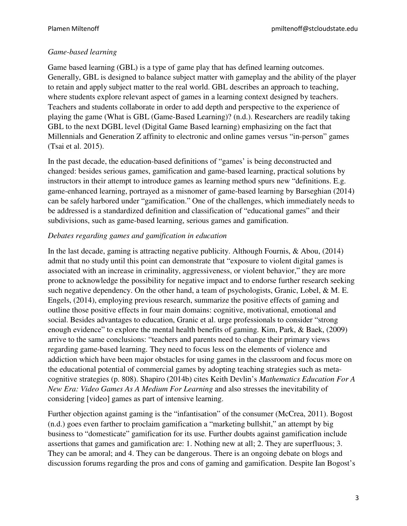## *Game-based learning*

Game based learning (GBL) is a type of game play that has defined learning outcomes. Generally, GBL is designed to balance subject matter with gameplay and the ability of the player to retain and apply subject matter to the real world. GBL describes an approach to teaching, where students explore relevant aspect of games in a learning context designed by teachers. Teachers and students collaborate in order to add depth and perspective to the experience of playing the game (What is GBL (Game-Based Learning)? (n.d.). Researchers are readily taking GBL to the next DGBL level (Digital Game Based learning) emphasizing on the fact that Millennials and Generation Z affinity to electronic and online games versus "in-person" games (Tsai et al. 2015).

In the past decade, the education-based definitions of "games' is being deconstructed and changed: besides serious games, gamification and game-based learning, practical solutions by instructors in their attempt to introduce games as learning method spurs new "definitions. E.g. game-enhanced learning, portrayed as a misnomer of game-based learning by Barseghian (2014) can be safely harbored under "gamification." One of the challenges, which immediately needs to be addressed is a standardized definition and classification of "educational games" and their subdivisions, such as game-based learning, serious games and gamification.

## *Debates regarding games and gamification in education*

In the last decade, gaming is attracting negative publicity. Although Fournis, & Abou, (2014) admit that no study until this point can demonstrate that "exposure to violent digital games is associated with an increase in criminality, aggressiveness, or violent behavior," they are more prone to acknowledge the possibility for negative impact and to endorse further research seeking such negative dependency. On the other hand, a team of psychologists, Granic, Lobel,  $\&$  M. E. Engels, (2014), employing previous research, summarize the positive effects of gaming and outline those positive effects in four main domains: cognitive, motivational, emotional and social. Besides advantages to education, Granic et al. urge professionals to consider "strong enough evidence" to explore the mental health benefits of gaming. Kim, Park, & Baek, (2009) arrive to the same conclusions: "teachers and parents need to change their primary views regarding game-based learning. They need to focus less on the elements of violence and addiction which have been major obstacles for using games in the classroom and focus more on the educational potential of commercial games by adopting teaching strategies such as metacognitive strategies (p. 808). Shapiro (2014b) cites Keith Devlin's *Mathematics Education For A New Era: Video Games As A Medium For Learning* and also stresses the inevitability of considering [video] games as part of intensive learning.

Further objection against gaming is the "infantisation" of the consumer (McCrea, 2011). Bogost (n.d.) goes even farther to proclaim gamification a "marketing bullshit," an attempt by big business to "domesticate" gamification for its use. Further doubts against gamification include assertions that games and gamification are: 1. Nothing new at all; 2. They are superfluous; 3. They can be amoral; and 4. They can be dangerous. There is an ongoing debate on blogs and discussion forums regarding the pros and cons of gaming and gamification. Despite Ian Bogost's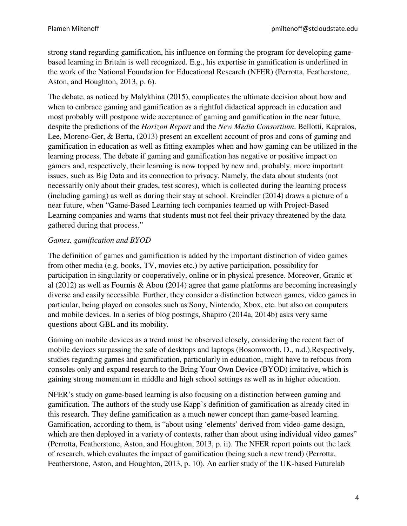strong stand regarding gamification, his influence on forming the program for developing gamebased learning in Britain is well recognized. E.g., his expertise in gamification is underlined in the work of the National Foundation for Educational Research (NFER) (Perrotta, Featherstone, Aston, and Houghton, 2013, p. 6).

The debate, as noticed by Malykhina (2015), complicates the ultimate decision about how and when to embrace gaming and gamification as a rightful didactical approach in education and most probably will postpone wide acceptance of gaming and gamification in the near future, despite the predictions of the *Horizon Report* and the *New Media Consortium*. Bellotti, Kapralos, Lee, Moreno-Ger, & Berta, (2013) present an excellent account of pros and cons of gaming and gamification in education as well as fitting examples when and how gaming can be utilized in the learning process. The debate if gaming and gamification has negative or positive impact on gamers and, respectively, their learning is now topped by new and, probably, more important issues, such as Big Data and its connection to privacy. Namely, the data about students (not necessarily only about their grades, test scores), which is collected during the learning process (including gaming) as well as during their stay at school. Kreindler (2014) draws a picture of a near future, when "Game-Based Learning tech companies teamed up with Project-Based Learning companies and warns that students must not feel their privacy threatened by the data gathered during that process."

# *Games, gamification and BYOD*

The definition of games and gamification is added by the important distinction of video games from other media (e.g. books, TV, movies etc.) by active participation, possibility for participation in singularity or cooperatively, online or in physical presence. Moreover, Granic et al (2012) as well as Fournis & Abou (2014) agree that game platforms are becoming increasingly diverse and easily accessible. Further, they consider a distinction between games, video games in particular, being played on consoles such as Sony, Nintendo, Xbox, etc. but also on computers and mobile devices. In a series of blog postings, Shapiro (2014a, 2014b) asks very same questions about GBL and its mobility.

Gaming on mobile devices as a trend must be observed closely, considering the recent fact of mobile devices surpassing the sale of desktops and laptops (Bosomworth, D., n.d.).Respectively, studies regarding games and gamification, particularly in education, might have to refocus from consoles only and expand research to the Bring Your Own Device (BYOD) imitative, which is gaining strong momentum in middle and high school settings as well as in higher education.

NFER's study on game-based learning is also focusing on a distinction between gaming and gamification. The authors of the study use Kapp's definition of gamification as already cited in this research. They define gamification as a much newer concept than game-based learning. Gamification, according to them, is "about using 'elements' derived from video-game design, which are then deployed in a variety of contexts, rather than about using individual video games" (Perrotta, Featherstone, Aston, and Houghton, 2013, p. ii). The NFER report points out the lack of research, which evaluates the impact of gamification (being such a new trend) (Perrotta, Featherstone, Aston, and Houghton, 2013, p. 10). An earlier study of the UK-based Futurelab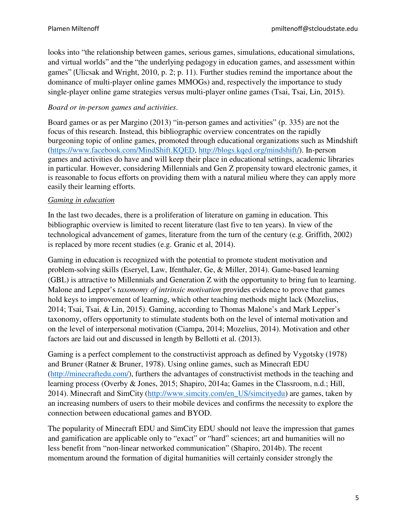looks into "the relationship between games, serious games, simulations, educational simulations, and virtual worlds" and the "the underlying pedagogy in education games, and assessment within games" (Ulicsak and Wright, 2010, p. 2; p. 11). Further studies remind the importance about the dominance of multi-player online games MMOGs) and, respectively the importance to study single-player online game strategies versus multi-player online games (Tsai, Tsai, Lin, 2015).

## *Board or in-person games and activities*.

Board games or as per Margino (2013) "in-person games and activities" (p. 335) are not the focus of this research. Instead, this bibliographic overview concentrates on the rapidly burgeoning topic of online games, promoted through educational organizations such as Mindshift (https://www.facebook.com/MindShift.KQED, http://blogs.kqed.org/mindshift/). In-person games and activities do have and will keep their place in educational settings, academic libraries in particular. However, considering Millennials and Gen Z propensity toward electronic games, it is reasonable to focus efforts on providing them with a natural milieu where they can apply more easily their learning efforts.

#### *Gaming in education*

In the last two decades, there is a proliferation of literature on gaming in education. This bibliographic overview is limited to recent literature (last five to ten years). In view of the technological advancement of games, literature from the turn of the century (e.g. Griffith, 2002) is replaced by more recent studies (e.g. Granic et al, 2014).

Gaming in education is recognized with the potential to promote student motivation and problem-solving skills (Eseryel, Law, Ifenthaler, Ge, & Miller, 2014). Game-based learning (GBL) is attractive to Millennials and Generation Z with the opportunity to bring fun to learning. Malone and Lepper's *taxonomy of intrinsic motivation* provides evidence to prove that games hold keys to improvement of learning, which other teaching methods might lack (Mozelius, 2014; Tsai, Tsai, & Lin, 2015). Gaming, according to Thomas Malone's and Mark Lepper's taxonomy, offers opportunity to stimulate students both on the level of internal motivation and on the level of interpersonal motivation (Ciampa, 2014; Mozelius, 2014). Motivation and other factors are laid out and discussed in length by Bellotti et al. (2013).

Gaming is a perfect complement to the constructivist approach as defined by Vygotsky (1978) and Bruner (Ratner & Bruner, 1978). Using online games, such as Minecraft EDU (http://minecraftedu.com/), furthers the advantages of constructivist methods in the teaching and learning process (Overby & Jones, 2015; Shapiro, 2014a; Games in the Classroom, n.d.; Hill, 2014). Minecraft and SimCity (http://www.simcity.com/en\_US/simcityedu) are games, taken by an increasing numbers of users to their mobile devices and confirms the necessity to explore the connection between educational games and BYOD.

The popularity of Minecraft EDU and SimCity EDU should not leave the impression that games and gamification are applicable only to "exact" or "hard" sciences; art and humanities will no less benefit from "non-linear networked communication" (Shapiro, 2014b). The recent momentum around the formation of digital humanities will certainly consider strongly the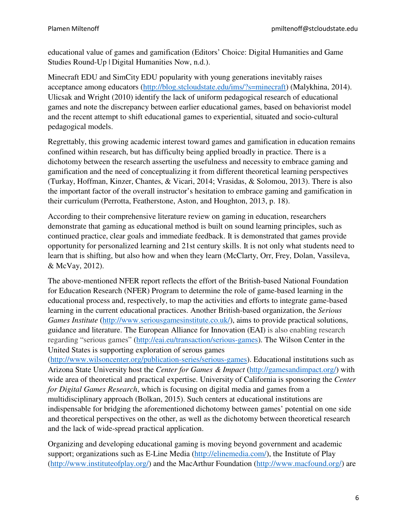educational value of games and gamification (Editors' Choice: Digital Humanities and Game Studies Round-Up | Digital Humanities Now, n.d.).

Minecraft EDU and SimCity EDU popularity with young generations inevitably raises acceptance among educators (http://blog.stcloudstate.edu/ims/?s=minecraft) (Malykhina, 2014). Ulicsak and Wright (2010) identify the lack of uniform pedagogical research of educational games and note the discrepancy between earlier educational games, based on behaviorist model and the recent attempt to shift educational games to experiential, situated and socio-cultural pedagogical models.

Regrettably, this growing academic interest toward games and gamification in education remains confined within research, but has difficulty being applied broadly in practice. There is a dichotomy between the research asserting the usefulness and necessity to embrace gaming and gamification and the need of conceptualizing it from different theoretical learning perspectives (Turkay, Hoffman, Kinzer, Chantes, & Vicari, 2014; Vrasidas, & Solomou, 2013). There is also the important factor of the overall instructor's hesitation to embrace gaming and gamification in their curriculum (Perrotta, Featherstone, Aston, and Houghton, 2013, p. 18).

According to their comprehensive literature review on gaming in education, researchers demonstrate that gaming as educational method is built on sound learning principles, such as continued practice, clear goals and immediate feedback. It is demonstrated that games provide opportunity for personalized learning and 21st century skills. It is not only what students need to learn that is shifting, but also how and when they learn (McClarty, Orr, Frey, Dolan, Vassileva, & McVay, 2012).

The above-mentioned NFER report reflects the effort of the British-based National Foundation for Education Research (NFER) Program to determine the role of game-based learning in the educational process and, respectively, to map the activities and efforts to integrate game-based learning in the current educational practices. Another British-based organization, the *Serious Games Institute* (http://www.seriousgamesinstitute.co.uk/), aims to provide practical solutions, guidance and literature. The European Alliance for Innovation (EAI) is also enabling research regarding "serious games" (http://eai.eu/transaction/serious-games). The Wilson Center in the United States is supporting exploration of serous games

(http://www.wilsoncenter.org/publication-series/serious-games). Educational institutions such as Arizona State University host the *Center for Games & Impact* (http://gamesandimpact.org/) with wide area of theoretical and practical expertise. University of California is sponsoring the *Center for Digital Games Research*, which is focusing on digital media and games from a multidisciplinary approach (Bolkan, 2015). Such centers at educational institutions are indispensable for bridging the aforementioned dichotomy between games' potential on one side and theoretical perspectives on the other, as well as the dichotomy between theoretical research and the lack of wide-spread practical application.

Organizing and developing educational gaming is moving beyond government and academic support; organizations such as E-Line Media (http://elinemedia.com/), the Institute of Play (http://www.instituteofplay.org/) and the MacArthur Foundation (http://www.macfound.org/) are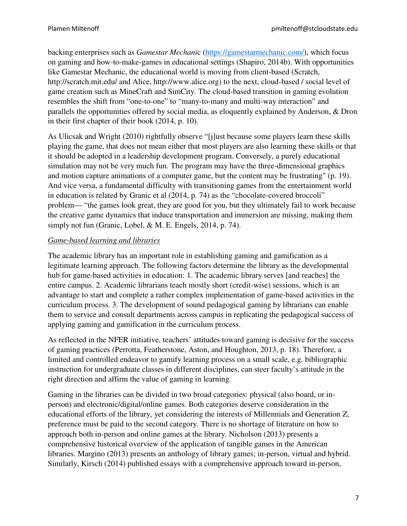backing enterprises such as *Gamestar Mechani*c (https://gamestarmechanic.com/), which focus on gaming and how-to-make-games in educational settings (Shapiro, 2014b). With opportunities like Gamestar Mechanic, the educational world is moving from client-based (Scratch, http://scratch.mit.edu/ and Alice, http://www.alice.org) to the next, cloud-based / social level of game creation such as MineCraft and SimCity. The cloud-based transition in gaming evolution resembles the shift from "one-to-one" to "many-to-many and multi-way interaction" and parallels the opportunities offered by social media, as eloquently explained by Anderson, & Dron in their first chapter of their book (2014, p. 10).

As Ulicsak and Wright (2010) rightfully observe "[j]ust because some players learn these skills playing the game, that does not mean either that most players are also learning these skills or that it should be adopted in a leadership development program. Conversely, a purely educational simulation may not be very much fun. The program may have the three-dimensional graphics and motion capture animations of a computer game, but the content may be frustrating" (p. 19). And vice versa, a fundamental difficulty with transitioning games from the entertainment world in education is related by Granic et al (2014, p. 74) as the "chocolate-covered broccoli" problem— "the games look great, they are good for you, but they ultimately fail to work because the creative game dynamics that induce transportation and immersion are missing, making them simply not fun (Granic, Lobel, & M. E. Engels, 2014, p. 74).

# *Game-based learning and libraries*

The academic library has an important role in establishing gaming and gamification as a legitimate learning approach. The following factors determine the library as the developmental hub for game-based activities in education: 1. The academic library serves [and reaches] the entire campus. 2. Academic librarians teach mostly short (credit-wise) sessions, which is an advantage to start and complete a rather complex implementation of game-based activities in the curriculum process. 3. The development of sound pedagogical gaming by librarians can enable them to service and consult departments across campus in replicating the pedagogical success of applying gaming and gamification in the curriculum process.

As reflected in the NFER initiative, teachers' attitudes toward gaming is decisive for the success of gaming practices (Perrotta, Featherstone, Aston, and Houghton, 2013, p. 18). Therefore, a limited and controlled endeavor to gamify learning process on a small scale, e.g. bibliographic instruction for undergraduate classes in different disciplines, can steer faculty's attitude in the right direction and affirm the value of gaming in learning.

Gaming in the libraries can be divided in two broad categories: physical (also board, or inperson) and electronic/digital/online games. Both categories deserve consideration in the educational efforts of the library, yet considering the interests of Millennials and Generation Z, preference must be paid to the second category. There is no shortage of literature on how to approach both in-person and online games at the library. Nicholson (2013) presents a comprehensive historical overview of the application of tangible games in the American libraries. Margino (2013) presents an anthology of library games; in-person, virtual and hybrid. Similarly, Kirsch (2014) published essays with a comprehensive approach toward in-person,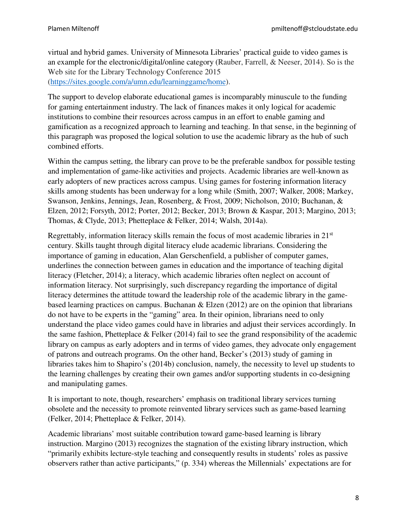virtual and hybrid games. University of Minnesota Libraries' practical guide to video games is an example for the electronic/digital/online category (Rauber, Farrell, & Neeser, 2014). So is the Web site for the Library Technology Conference 2015 (https://sites.google.com/a/umn.edu/learninggame/home).

The support to develop elaborate educational games is incomparably minuscule to the funding for gaming entertainment industry. The lack of finances makes it only logical for academic institutions to combine their resources across campus in an effort to enable gaming and gamification as a recognized approach to learning and teaching. In that sense, in the beginning of this paragraph was proposed the logical solution to use the academic library as the hub of such combined efforts.

Within the campus setting, the library can prove to be the preferable sandbox for possible testing and implementation of game-like activities and projects. Academic libraries are well-known as early adopters of new practices across campus. Using games for fostering information literacy skills among students has been underway for a long while (Smith, 2007; Walker, 2008; Markey, Swanson, Jenkins, Jennings, Jean, Rosenberg, & Frost, 2009; Nicholson, 2010; Buchanan, & Elzen, 2012; Forsyth, 2012; Porter, 2012; Becker, 2013; Brown & Kaspar, 2013; Margino, 2013; Thomas, & Clyde, 2013; Phetteplace & Felker, 2014; Walsh, 2014a).

Regrettably, information literacy skills remain the focus of most academic libraries in 21<sup>st</sup> century. Skills taught through digital literacy elude academic librarians. Considering the importance of gaming in education, Alan Gerschenfield, a publisher of computer games, underlines the connection between games in education and the importance of teaching digital literacy (Fletcher, 2014); a literacy, which academic libraries often neglect on account of information literacy. Not surprisingly, such discrepancy regarding the importance of digital literacy determines the attitude toward the leadership role of the academic library in the gamebased learning practices on campus. Buchanan & Elzen (2012) are on the opinion that librarians do not have to be experts in the "gaming" area. In their opinion, librarians need to only understand the place video games could have in libraries and adjust their services accordingly. In the same fashion, Phetteplace & Felker (2014) fail to see the grand responsibility of the academic library on campus as early adopters and in terms of video games, they advocate only engagement of patrons and outreach programs. On the other hand, Becker's (2013) study of gaming in libraries takes him to Shapiro's (2014b) conclusion, namely, the necessity to level up students to the learning challenges by creating their own games and/or supporting students in co-designing and manipulating games.

It is important to note, though, researchers' emphasis on traditional library services turning obsolete and the necessity to promote reinvented library services such as game-based learning (Felker, 2014; Phetteplace & Felker, 2014).

Academic librarians' most suitable contribution toward game-based learning is library instruction. Margino (2013) recognizes the stagnation of the existing library instruction, which "primarily exhibits lecture-style teaching and consequently results in students' roles as passive observers rather than active participants," (p. 334) whereas the Millennials' expectations are for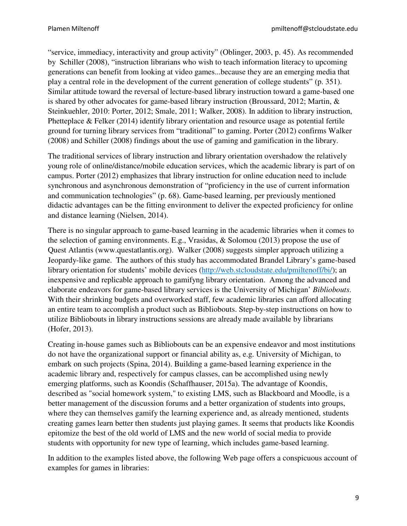"service, immediacy, interactivity and group activity" (Oblinger, 2003, p. 45). As recommended by Schiller (2008), "instruction librarians who wish to teach information literacy to upcoming generations can benefit from looking at video games...because they are an emerging media that play a central role in the development of the current generation of college students" (p. 351). Similar attitude toward the reversal of lecture-based library instruction toward a game-based one is shared by other advocates for game-based library instruction (Broussard, 2012; Martin, & Steinkuehler, 2010: Porter, 2012; Smale, 2011; Walker, 2008). In addition to library instruction, Phetteplace & Felker (2014) identify library orientation and resource usage as potential fertile ground for turning library services from "traditional" to gaming. Porter (2012) confirms Walker (2008) and Schiller (2008) findings about the use of gaming and gamification in the library.

The traditional services of library instruction and library orientation overshadow the relatively young role of online/distance/mobile education services, which the academic library is part of on campus. Porter (2012) emphasizes that library instruction for online education need to include synchronous and asynchronous demonstration of "proficiency in the use of current information and communication technologies" (p. 68). Game-based learning, per previously mentioned didactic advantages can be the fitting environment to deliver the expected proficiency for online and distance learning (Nielsen, 2014).

There is no singular approach to game-based learning in the academic libraries when it comes to the selection of gaming environments. E.g., Vrasidas, & Solomou (2013) propose the use of Quest Atlantis (www.questatlantis.org). Walker (2008) suggests simpler approach utilizing a Jeopardy-like game. The authors of this study has accommodated Brandel Library's game-based library orientation for students' mobile devices (http://web.stcloudstate.edu/pmiltenoff/bi/); an inexpensive and replicable approach to gamifyng library orientation. Among the advanced and elaborate endeavors for game-based library services is the University of Michigan' *Bibliobouts*. With their shrinking budgets and overworked staff, few academic libraries can afford allocating an entire team to accomplish a product such as Bibliobouts. Step-by-step instructions on how to utilize Bibliobouts in library instructions sessions are already made available by librarians (Hofer, 2013).

Creating in-house games such as Bibliobouts can be an expensive endeavor and most institutions do not have the organizational support or financial ability as, e.g. University of Michigan, to embark on such projects (Spina, 2014). Building a game-based learning experience in the academic library and, respectively for campus classes, can be accomplished using newly emerging platforms, such as Koondis (Schaffhauser, 2015a). The advantage of Koondis, described as "social homework system," to existing LMS, such as Blackboard and Moodle, is a better management of the discussion forums and a better organization of students into groups, where they can themselves gamify the learning experience and, as already mentioned, students creating games learn better then students just playing games. It seems that products like Koondis epitomize the best of the old world of LMS and the new world of social media to provide students with opportunity for new type of learning, which includes game-based learning.

In addition to the examples listed above, the following Web page offers a conspicuous account of examples for games in libraries: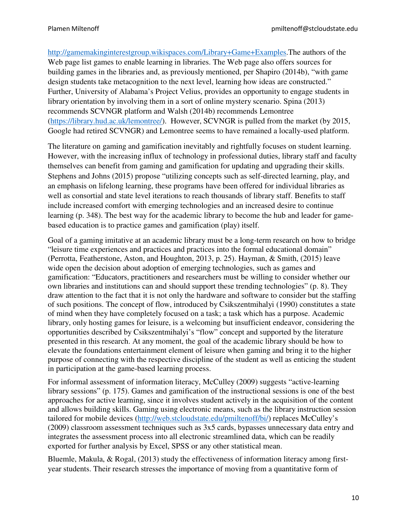http://gamemakinginterestgroup.wikispaces.com/Library+Game+Examples.The authors of the Web page list games to enable learning in libraries. The Web page also offers sources for building games in the libraries and, as previously mentioned, per Shapiro (2014b), "with game design students take metacognition to the next level, learning how ideas are constructed." Further, University of Alabama's Project Velius, provides an opportunity to engage students in library orientation by involving them in a sort of online mystery scenario. Spina (2013) recommends SCVNGR platform and Walsh (2014b) recommends Lemontree (https://library.hud.ac.uk/lemontree/). However, SCVNGR is pulled from the market (by 2015, Google had retired SCVNGR) and Lemontree seems to have remained a locally-used platform.

The literature on gaming and gamification inevitably and rightfully focuses on student learning. However, with the increasing influx of technology in professional duties, library staff and faculty themselves can benefit from gaming and gamification for updating and upgrading their skills. Stephens and Johns (2015) propose "utilizing concepts such as self-directed learning, play, and an emphasis on lifelong learning, these programs have been offered for individual libraries as well as consortial and state level iterations to reach thousands of library staff. Benefits to staff include increased comfort with emerging technologies and an increased desire to continue learning (p. 348). The best way for the academic library to become the hub and leader for gamebased education is to practice games and gamification (play) itself.

Goal of a gaming imitative at an academic library must be a long-term research on how to bridge "leisure time experiences and practices and practices into the formal educational domain" (Perrotta, Featherstone, Aston, and Houghton, 2013, p. 25). Hayman, & Smith, (2015) leave wide open the decision about adoption of emerging technologies, such as games and gamification: "Educators, practitioners and researchers must be willing to consider whether our own libraries and institutions can and should support these trending technologies" (p. 8). They draw attention to the fact that it is not only the hardware and software to consider but the staffing of such positions. The concept of flow, introduced by Csikszentmihalyi (1990) constitutes a state of mind when they have completely focused on a task; a task which has a purpose. Academic library, only hosting games for leisure, is a welcoming but insufficient endeavor, considering the opportunities described by Csikszentmihalyi's "flow" concept and supported by the literature presented in this research. At any moment, the goal of the academic library should be how to elevate the foundations entertainment element of leisure when gaming and bring it to the higher purpose of connecting with the respective discipline of the student as well as enticing the student in participation at the game-based learning process.

For informal assessment of information literacy, McCulley (2009) suggests "active-learning library sessions" (p. 175). Games and gamification of the instructional sessions is one of the best approaches for active learning, since it involves student actively in the acquisition of the content and allows building skills. Gaming using electronic means, such as the library instruction session tailored for mobile devices (http://web.stcloudstate.edu/pmiltenoff/bi/) replaces McCulley's (2009) classroom assessment techniques such as 3x5 cards, bypasses unnecessary data entry and integrates the assessment process into all electronic streamlined data, which can be readily exported for further analysis by Excel, SPSS or any other statistical mean.

Bluemle, Makula, & Rogal, (2013) study the effectiveness of information literacy among firstyear students. Their research stresses the importance of moving from a quantitative form of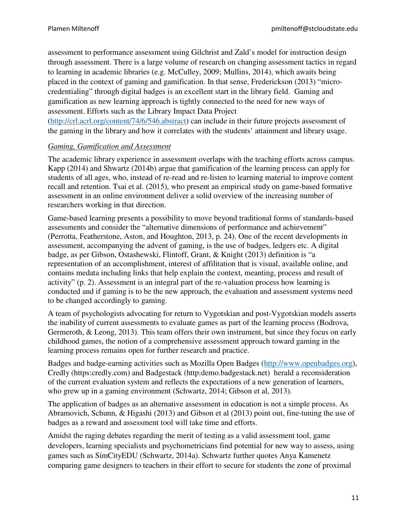assessment to performance assessment using Gilchrist and Zald's model for instruction design through assessment. There is a large volume of research on changing assessment tactics in regard to learning in academic libraries (e.g. McCulley, 2009; Mullins, 2014), which awaits being placed in the context of gaming and gamification. In that sense, Frederickson (2013) "microcredentialing" through digital badges is an excellent start in the library field. Gaming and gamification as new learning approach is tightly connected to the need for new ways of assessment. Efforts such as the Library Impact Data Project (http://crl.acrl.org/content/74/6/546.abstract) can include in their future projects assessment of

the gaming in the library and how it correlates with the students' attainment and library usage.

#### *Gaming, Gamification and Assessment*

The academic library experience in assessment overlaps with the teaching efforts across campus. Kapp (2014) and Shwartz (2014b) argue that gamification of the learning process can apply for students of all ages, who, instead of re-read and re-listen to learning material to improve content recall and retention. Tsai et al. (2015), who present an empirical study on game-based formative assessment in an online environment deliver a solid overview of the increasing number of researchers working in that direction.

Game-based learning presents a possibility to move beyond traditional forms of standards-based assessments and consider the "alternative dimensions of performance and achievement" (Perrotta, Featherstone, Aston, and Houghton, 2013, p. 24). One of the recent developments in assessment, accompanying the advent of gaming, is the use of badges, ledgers etc. A digital badge, as per Gibson, Ostashewski, Flintoff, Grant, & Knight (2013) definition is "a representation of an accomplishment, interest of affilitation that is visual, available online, and contains medata including links that help explain the context, meanting, process and result of activity" (p. 2). Assessment is an integral part of the re-valuation process how learning is conducted and if gaming is to be the new approach, the evaluation and assessment systems need to be changed accordingly to gaming.

A team of psychologists advocating for return to Vygotskian and post-Vygotskian models asserts the inability of current assessments to evaluate games as part of the learning process (Bodrova, Germeroth, & Leong, 2013). This team offers their own instrument, but since they focus on early childhood games, the notion of a comprehensive assessment approach toward gaming in the learning process remains open for further research and practice.

Badges and badge-earning activities such as Mozilla Open Badges (http://www.openbadges.org), Credly (https:credly.com) and Badgestack (http:demo.badgestack.net) herald a reconsideration of the current evaluation system and reflects the expectations of a new generation of learners, who grew up in a gaming environment (Schwartz, 2014; Gibson et al, 2013).

The application of badges as an alternative assessment in education is not a simple process. As Abramovich, Schunn, & Higashi (2013) and Gibson et al (2013) point out, fine-tuning the use of badges as a reward and assessment tool will take time and efforts.

Amidst the raging debates regarding the merit of testing as a valid assessment tool, game developers, learning specialists and psychometricians find potential for new way to assess, using games such as SimCityEDU (Schwartz, 2014a). Schwartz further quotes Anya Kamenetz comparing game designers to teachers in their effort to secure for students the zone of proximal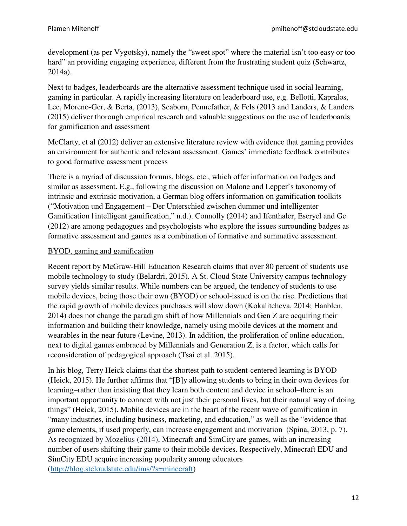development (as per Vygotsky), namely the "sweet spot" where the material isn't too easy or too hard" an providing engaging experience, different from the frustrating student quiz (Schwartz, 2014a).

Next to badges, leaderboards are the alternative assessment technique used in social learning, gaming in particular. A rapidly increasing literature on leaderboard use, e.g. Bellotti, Kapralos, Lee, Moreno-Ger, & Berta, (2013), Seaborn, Pennefather, & Fels (2013 and Landers, & Landers (2015) deliver thorough empirical research and valuable suggestions on the use of leaderboards for gamification and assessment

McClarty, et al (2012) deliver an extensive literature review with evidence that gaming provides an environment for authentic and relevant assessment. Games' immediate feedback contributes to good formative assessment process

There is a myriad of discussion forums, blogs, etc., which offer information on badges and similar as assessment. E.g., following the discussion on Malone and Lepper's taxonomy of intrinsic and extrinsic motivation, a German blog offers information on gamification toolkits ("Motivation und Engagement – Der Unterschied zwischen dummer und intelligenter Gamification | intelligent gamification," n.d.). Connolly (2014) and Ifenthaler, Eseryel and Ge (2012) are among pedagogues and psychologists who explore the issues surrounding badges as formative assessment and games as a combination of formative and summative assessment.

## BYOD, gaming and gamification

Recent report by McGraw-Hill Education Research claims that over 80 percent of students use mobile technology to study (Belardri, 2015). A St. Cloud State University campus technology survey yields similar results. While numbers can be argued, the tendency of students to use mobile devices, being those their own (BYOD) or school-issued is on the rise. Predictions that the rapid growth of mobile devices purchases will slow down (Kokalitcheva, 2014; Hanblen, 2014) does not change the paradigm shift of how Millennials and Gen Z are acquiring their information and building their knowledge, namely using mobile devices at the moment and wearables in the near future (Levine, 2013). In addition, the proliferation of online education, next to digital games embraced by Millennials and Generation Z, is a factor, which calls for reconsideration of pedagogical approach (Tsai et al. 2015).

In his blog, Terry Heick claims that the shortest path to student-centered learning is BYOD (Heick, 2015). He further affirms that "[B]y allowing students to bring in their own devices for learning–rather than insisting that they learn both content and device in school–there is an important opportunity to connect with not just their personal lives, but their natural way of doing things" (Heick, 2015). Mobile devices are in the heart of the recent wave of gamification in "many industries, including business, marketing, and education," as well as the "evidence that game elements, if used properly, can increase engagement and motivation (Spina, 2013, p. 7). As recognized by Mozelius (2014), Minecraft and SimCity are games, with an increasing number of users shifting their game to their mobile devices. Respectively, Minecraft EDU and SimCity EDU acquire increasing popularity among educators (http://blog.stcloudstate.edu/ims/?s=minecraft)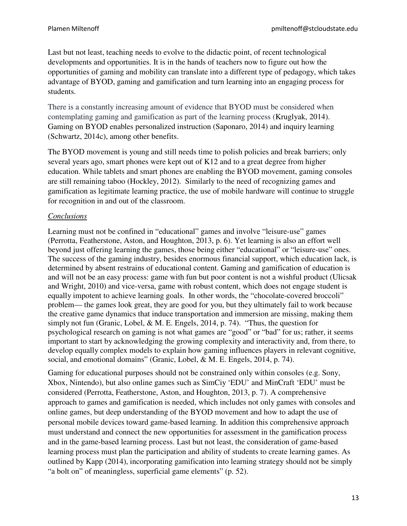Last but not least, teaching needs to evolve to the didactic point, of recent technological developments and opportunities. It is in the hands of teachers now to figure out how the opportunities of gaming and mobility can translate into a different type of pedagogy, which takes advantage of BYOD, gaming and gamification and turn learning into an engaging process for students.

Gaming on BYOD enables personalized instruction (Saponaro, 2014) and inquiry learning (Schwartz, 2014c), among other benefits. There is a constantly increasing amount of evidence that BYOD must be considered when contemplating gaming and gamification as part of the learning process (Kruglyak, 2014).

The BYOD movement is young and still needs time to polish policies and break barriers; only several years ago, smart phones were kept out of K12 and to a great degree from higher education. While tablets and smart phones are enabling the BYOD movement, gaming consoles are still remaining taboo (Hockley, 2012). Similarly to the need of recognizing games and gamification as legitimate learning practice, the use of mobile hardware will continue to struggle for recognition in and out of the classroom.

## *Conclusions*

Learning must not be confined in "educational" games and involve "leisure-use" games (Perrotta, Featherstone, Aston, and Houghton, 2013, p. 6). Yet learning is also an effort well beyond just offering learning the games, those being either "educational" or "leisure-use" ones. The success of the gaming industry, besides enormous financial support, which education lack, is determined by absent restrains of educational content. Gaming and gamification of education is and will not be an easy process: game with fun but poor content is not a wishful product (Ulicsak and Wright, 2010) and vice-versa, game with robust content, which does not engage student is equally impotent to achieve learning goals. In other words, the "chocolate-covered broccoli" problem— the games look great, they are good for you, but they ultimately fail to work because the creative game dynamics that induce transportation and immersion are missing, making them simply not fun (Granic, Lobel, & M. E. Engels, 2014, p. 74). "Thus, the question for psychological research on gaming is not what games are "good" or "bad" for us; rather, it seems important to start by acknowledging the growing complexity and interactivity and, from there, to develop equally complex models to explain how gaming influences players in relevant cognitive, social, and emotional domains" (Granic, Lobel, & M. E. Engels, 2014, p. 74).

Gaming for educational purposes should not be constrained only within consoles (e.g. Sony, Xbox, Nintendo), but also online games such as SimCiy 'EDU' and MinCraft 'EDU' must be considered (Perrotta, Featherstone, Aston, and Houghton, 2013, p. 7). A comprehensive approach to games and gamification is needed, which includes not only games with consoles and online games, but deep understanding of the BYOD movement and how to adapt the use of personal mobile devices toward game-based learning. In addition this comprehensive approach must understand and connect the new opportunities for assessment in the gamification process and in the game-based learning process. Last but not least, the consideration of game-based learning process must plan the participation and ability of students to create learning games. As outlined by Kapp (2014), incorporating gamification into learning strategy should not be simply "a bolt on" of meaningless, superficial game elements" (p. 52).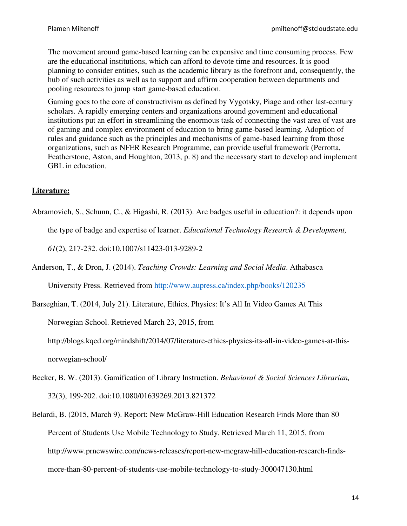The movement around game-based learning can be expensive and time consuming process. Few are the educational institutions, which can afford to devote time and resources. It is good planning to consider entities, such as the academic library as the forefront and, consequently, the hub of such activities as well as to support and affirm cooperation between departments and pooling resources to jump start game-based education.

Gaming goes to the core of constructivism as defined by Vygotsky, Piage and other last-century scholars. A rapidly emerging centers and organizations around government and educational institutions put an effort in streamlining the enormous task of connecting the vast area of vast are of gaming and complex environment of education to bring game-based learning. Adoption of rules and guidance such as the principles and mechanisms of game-based learning from those organizations, such as NFER Research Programme, can provide useful framework (Perrotta, Featherstone, Aston, and Houghton, 2013, p. 8) and the necessary start to develop and implement GBL in education.

#### **Literature:**

Abramovich, S., Schunn, C., & Higashi, R. (2013). Are badges useful in education?: it depends upon the type of badge and expertise of learner. *Educational Technology Research & Development,* 

*61*(2), 217-232. doi:10.1007/s11423-013-9289-2

Anderson, T., & Dron, J. (2014). *Teaching Crowds: Learning and Social Media*. Athabasca University Press. Retrieved from http://www.aupress.ca/index.php/books/120235

Barseghian, T. (2014, July 21). Literature, Ethics, Physics: It's All In Video Games At This

Norwegian School. Retrieved March 23, 2015, from

http://blogs.kqed.org/mindshift/2014/07/literature-ethics-physics-its-all-in-video-games-at-thisnorwegian-school/

- Becker, B. W. (2013). Gamification of Library Instruction. *Behavioral & Social Sciences Librarian,* 32(3), 199-202. doi:10.1080/01639269.2013.821372
- Belardi, B. (2015, March 9). Report: New McGraw-Hill Education Research Finds More than 80 Percent of Students Use Mobile Technology to Study. Retrieved March 11, 2015, from http://www.prnewswire.com/news-releases/report-new-mcgraw-hill-education-research-findsmore-than-80-percent-of-students-use-mobile-technology-to-study-300047130.html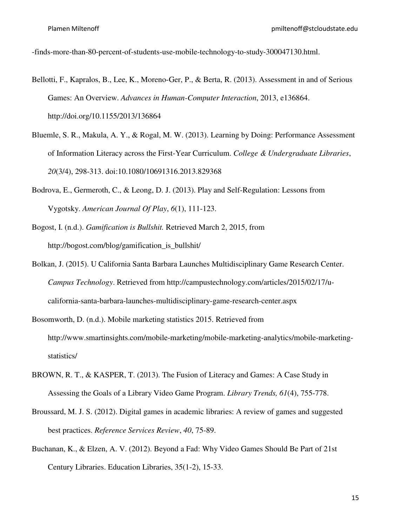-finds-more-than-80-percent-of-students-use-mobile-technology-to-study-300047130.html.

- Bellotti, F., Kapralos, B., Lee, K., Moreno-Ger, P., & Berta, R. (2013). Assessment in and of Serious Games: An Overview. *Advances in Human-Computer Interaction*, 2013, e136864. http://doi.org/10.1155/2013/136864
- Bluemle, S. R., Makula, A. Y., & Rogal, M. W. (2013). Learning by Doing: Performance Assessment of Information Literacy across the First-Year Curriculum. *College & Undergraduate Libraries*, *20*(3/4), 298-313. doi:10.1080/10691316.2013.829368
- Bodrova, E., Germeroth, C., & Leong, D. J. (2013). Play and Self-Regulation: Lessons from Vygotsky. *American Journal Of Play*, *6*(1), 111-123.
- Bogost, I. (n.d.). *Gamification is Bullshit.* Retrieved March 2, 2015, from http://bogost.com/blog/gamification\_is\_bullshit/
- Bolkan, J. (2015). U California Santa Barbara Launches Multidisciplinary Game Research Center. *Campus Technology*. Retrieved from http://campustechnology.com/articles/2015/02/17/ucalifornia-santa-barbara-launches-multidisciplinary-game-research-center.aspx
- Bosomworth, D. (n.d.). Mobile marketing statistics 2015. Retrieved from http://www.smartinsights.com/mobile-marketing/mobile-marketing-analytics/mobile-marketingstatistics/
- BROWN, R. T., & KASPER, T. (2013). The Fusion of Literacy and Games: A Case Study in Assessing the Goals of a Library Video Game Program. *Library Trends, 61*(4), 755-778.
- Broussard, M. J. S. (2012). Digital games in academic libraries: A review of games and suggested best practices. *Reference Services Review*, *40*, 75-89.
- Buchanan, K., & Elzen, A. V. (2012). Beyond a Fad: Why Video Games Should Be Part of 21st Century Libraries. Education Libraries, 35(1-2), 15-33.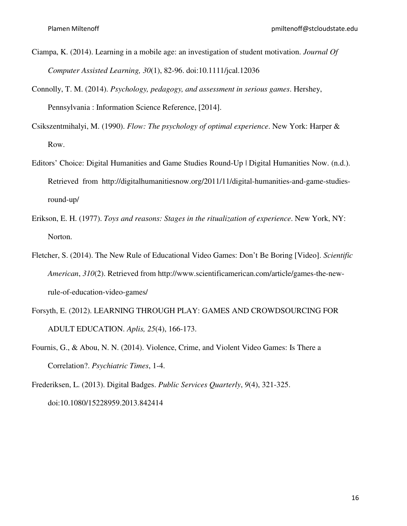- Ciampa, K. (2014). Learning in a mobile age: an investigation of student motivation. *Journal Of Computer Assisted Learning, 30*(1), 82-96. doi:10.1111/jcal.12036
- Connolly, T. M. (2014). *Psychology, pedagogy, and assessment in serious games*. Hershey, Pennsylvania : Information Science Reference, [2014].
- Csikszentmihalyi, M. (1990). *Flow: The psychology of optimal experience*. New York: Harper & Row.
- Editors' Choice: Digital Humanities and Game Studies Round-Up | Digital Humanities Now. (n.d.). Retrieved from http://digitalhumanitiesnow.org/2011/11/digital-humanities-and-game-studiesround-up/
- Erikson, E. H. (1977). *Toys and reasons: Stages in the ritualization of experience*. New York, NY: Norton.
- Fletcher, S. (2014). The New Rule of Educational Video Games: Don't Be Boring [Video]. *Scientific American*, *310*(2). Retrieved from http://www.scientificamerican.com/article/games-the-newrule-of-education-video-games/
- Forsyth, E. (2012). LEARNING THROUGH PLAY: GAMES AND CROWDSOURCING FOR ADULT EDUCATION. *Aplis, 25*(4), 166-173.
- Fournis, G., & Abou, N. N. (2014). Violence, Crime, and Violent Video Games: Is There a Correlation?. *Psychiatric Times*, 1-4.
- Frederiksen, L. (2013). Digital Badges. *Public Services Quarterly*, *9*(4), 321-325. doi:10.1080/15228959.2013.842414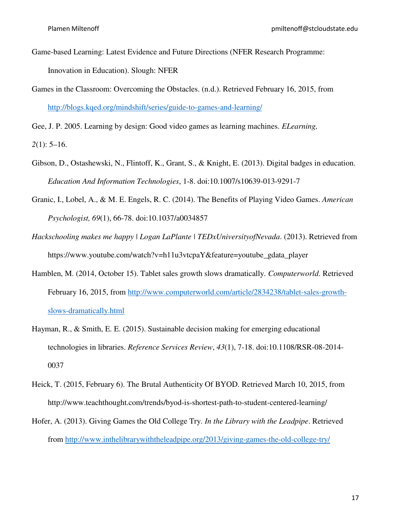- Game-based Learning: Latest Evidence and Future Directions (NFER Research Programme: Innovation in Education). Slough: NFER
- Games in the Classroom: Overcoming the Obstacles. (n.d.). Retrieved February 16, 2015, from http://blogs.kqed.org/mindshift/series/guide-to-games-and-learning/

Gee, J. P. 2005. Learning by design: Good video games as learning machines. *ELearning,* 

*2*(1): 5–16.

- Gibson, D., Ostashewski, N., Flintoff, K., Grant, S., & Knight, E. (2013). Digital badges in education. *Education And Information Technologies*, 1-8. doi:10.1007/s10639-013-9291-7
- Granic, I., Lobel, A., & M. E. Engels, R. C. (2014). The Benefits of Playing Video Games. *American Psychologist, 69*(1), 66-78. doi:10.1037/a0034857
- *Hackschooling makes me happy | Logan LaPlante | TEDxUniversityofNevada*. (2013). Retrieved from https://www.youtube.com/watch?v=h11u3vtcpaY&feature=youtube\_gdata\_player
- Hamblen, M. (2014, October 15). Tablet sales growth slows dramatically. *Computerworld*. Retrieved February 16, 2015, from http://www.computerworld.com/article/2834238/tablet-sales-growthslows-dramatically.html
- Hayman, R., & Smith, E. E. (2015). Sustainable decision making for emerging educational technologies in libraries. *Reference Services Review*, *43*(1), 7-18. doi:10.1108/RSR-08-2014- 0037
- Heick, T. (2015, February 6). The Brutal Authenticity Of BYOD. Retrieved March 10, 2015, from http://www.teachthought.com/trends/byod-is-shortest-path-to-student-centered-learning/
- Hofer, A. (2013). Giving Games the Old College Try. *In the Library with the Leadpipe*. Retrieved from http://www.inthelibrarywiththeleadpipe.org/2013/giving-games-the-old-college-try/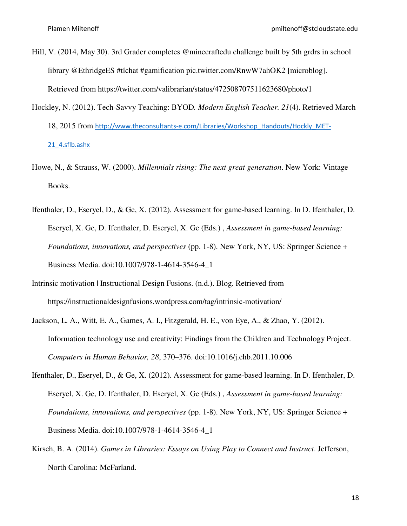- Hill, V. (2014, May 30). 3rd Grader completes @minecraftedu challenge built by 5th grdrs in school library @EthridgeES #tlchat #gamification pic.twitter.com/RnwW7ahOK2 [microblog]. Retrieved from https://twitter.com/valibrarian/status/472508707511623680/photo/1
- Hockley, N. (2012). Tech-Savvy Teaching: BYOD*. Modern English Teacher. 21*(4). Retrieved March 18, 2015 from http://www.theconsultants-e.com/Libraries/Workshop\_Handouts/Hockly\_MET-21\_4.sflb.ashx
- Howe, N., & Strauss, W. (2000). *Millennials rising: The next great generation*. New York: Vintage Books.
- Ifenthaler, D., Eseryel, D., & Ge, X. (2012). Assessment for game-based learning. In D. Ifenthaler, D. Eseryel, X. Ge, D. Ifenthaler, D. Eseryel, X. Ge (Eds.) , *Assessment in game-based learning: Foundations, innovations, and perspectives* (pp. 1-8). New York, NY, US: Springer Science + Business Media. doi:10.1007/978-1-4614-3546-4\_1
- Intrinsic motivation | Instructional Design Fusions. (n.d.). Blog. Retrieved from https://instructionaldesignfusions.wordpress.com/tag/intrinsic-motivation/
- Jackson, L. A., Witt, E. A., Games, A. I., Fitzgerald, H. E., von Eye, A., & Zhao, Y. (2012). Information technology use and creativity: Findings from the Children and Technology Project. *Computers in Human Behavior, 28*, 370–376. doi:10.1016/j.chb.2011.10.006
- Ifenthaler, D., Eseryel, D., & Ge, X. (2012). Assessment for game-based learning. In D. Ifenthaler, D. Eseryel, X. Ge, D. Ifenthaler, D. Eseryel, X. Ge (Eds.) , *Assessment in game-based learning: Foundations, innovations, and perspectives* (pp. 1-8). New York, NY, US: Springer Science + Business Media. doi:10.1007/978-1-4614-3546-4\_1
- Kirsch, B. A. (2014). *Games in Libraries: Essays on Using Play to Connect and Instruct*. Jefferson, North Carolina: McFarland.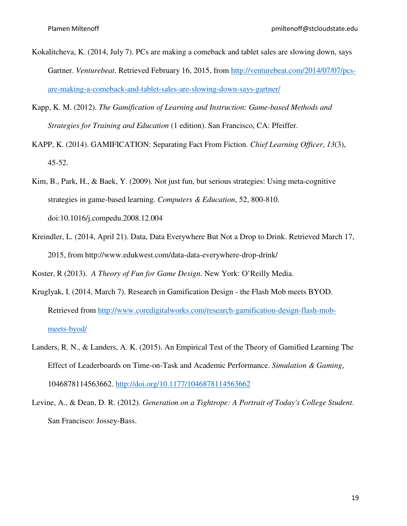- Kokalitcheva, K. (2014, July 7). PCs are making a comeback and tablet sales are slowing down, says Gartner. *Venturebeat*. Retrieved February 16, 2015, from http://venturebeat.com/2014/07/07/pcsare-making-a-comeback-and-tablet-sales-are-slowing-down-says-gartner/
- Kapp, K. M. (2012). *The Gamification of Learning and Instruction: Game-based Methods and Strategies for Training and Education* (1 edition). San Francisco, CA: Pfeiffer.
- KAPP, K. (2014). GAMIFICATION: Separating Fact From Fiction. *Chief Learning Officer*, *13*(3), 45-52.
- Kim, B., Park, H., & Baek, Y. (2009). Not just fun, but serious strategies: Using meta-cognitive strategies in game-based learning. *Computers & Education*, 52, 800-810. doi:10.1016/j.compedu.2008.12.004
- Kreindler, L. (2014, April 21). Data, Data Everywhere But Not a Drop to Drink. Retrieved March 17, 2015, from http://www.edukwest.com/data-data-everywhere-drop-drink/

Koster, R (2013). *A Theory of Fun for Game Design.* New York: O'Reilly Media.

- Kruglyak, I. (2014, March 7). Research in Gamification Design the Flash Mob meets BYOD. Retrieved from http://www.coredigitalworks.com/research-gamification-design-flash-mobmeets-byod/
- Landers, R. N., & Landers, A. K. (2015). An Empirical Test of the Theory of Gamified Learning The Effect of Leaderboards on Time-on-Task and Academic Performance. *Simulation & Gaming*, 1046878114563662. http://doi.org/10.1177/1046878114563662
- Levine, A., & Dean, D. R. (2012). *Generation on a Tightrope: A Portrait of Today's College Student*. San Francisco: Jossey-Bass.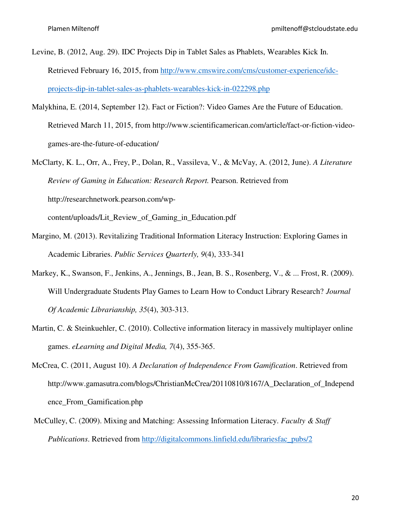- Levine, B. (2012, Aug. 29). IDC Projects Dip in Tablet Sales as Phablets, Wearables Kick In. Retrieved February 16, 2015, from http://www.cmswire.com/cms/customer-experience/idcprojects-dip-in-tablet-sales-as-phablets-wearables-kick-in-022298.php
- Malykhina, E. (2014, September 12). Fact or Fiction?: Video Games Are the Future of Education. Retrieved March 11, 2015, from http://www.scientificamerican.com/article/fact-or-fiction-videogames-are-the-future-of-education/
- McClarty, K. L., Orr, A., Frey, P., Dolan, R., Vassileva, V., & McVay, A. (2012, June). *A Literature Review of Gaming in Education: Research Report.* Pearson. Retrieved from http://researchnetwork.pearson.com/wpcontent/uploads/Lit\_Review\_of\_Gaming\_in\_Education.pdf
- Margino, M. (2013). Revitalizing Traditional Information Literacy Instruction: Exploring Games in

Academic Libraries. *Public Services Quarterly, 9*(4), 333-341

- Markey, K., Swanson, F., Jenkins, A., Jennings, B., Jean, B. S., Rosenberg, V., & ... Frost, R. (2009). Will Undergraduate Students Play Games to Learn How to Conduct Library Research? *Journal Of Academic Librarianship, 35*(4), 303-313.
- Martin, C. & Steinkuehler, C. (2010). Collective information literacy in massively multiplayer online games. *eLearning and Digital Media, 7*(4), 355-365.
- McCrea, C. (2011, August 10). *A Declaration of Independence From Gamification*. Retrieved from http://www.gamasutra.com/blogs/ChristianMcCrea/20110810/8167/A\_Declaration\_of\_Independ ence\_From\_Gamification.php
- McCulley, C. (2009). Mixing and Matching: Assessing Information Literacy. *Faculty & Staff Publications*. Retrieved from http://digitalcommons.linfield.edu/librariesfac\_pubs/2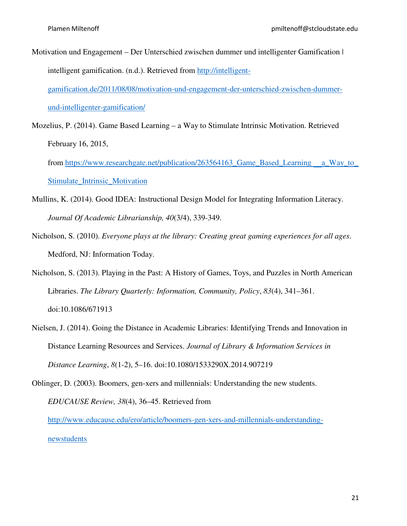Motivation und Engagement – Der Unterschied zwischen dummer und intelligenter Gamification | intelligent gamification. (n.d.). Retrieved from http://intelligent-

gamification.de/2011/08/08/motivation-und-engagement-der-unterschied-zwischen-dummerund-intelligenter-gamification/

Mozelius, P. (2014). Game Based Learning – a Way to Stimulate Intrinsic Motivation. Retrieved February 16, 2015,

from https://www.researchgate.net/publication/263564163 Game Based Learning a Way to Stimulate\_Intrinsic\_Motivation

- Mullins, K. (2014). Good IDEA: Instructional Design Model for Integrating Information Literacy. *Journal Of Academic Librarianship, 40*(3/4), 339-349.
- Nicholson, S. (2010). *Everyone plays at the library: Creating great gaming experiences for all ages*. Medford, NJ: Information Today.
- Nicholson, S. (2013). Playing in the Past: A History of Games, Toys, and Puzzles in North American Libraries. *The Library Quarterly: Information, Community, Policy*, *83*(4), 341–361. doi:10.1086/671913
- Nielsen, J. (2014). Going the Distance in Academic Libraries: Identifying Trends and Innovation in Distance Learning Resources and Services. *Journal of Library & Information Services in Distance Learning*, *8*(1-2), 5–16. doi:10.1080/1533290X.2014.907219

Oblinger, D. (2003). Boomers, gen-xers and millennials: Understanding the new students. *EDUCAUSE Review, 38*(4), 36–45. Retrieved from http://www.educause.edu/ero/article/boomers-gen-xers-and-millennials-understandingnewstudents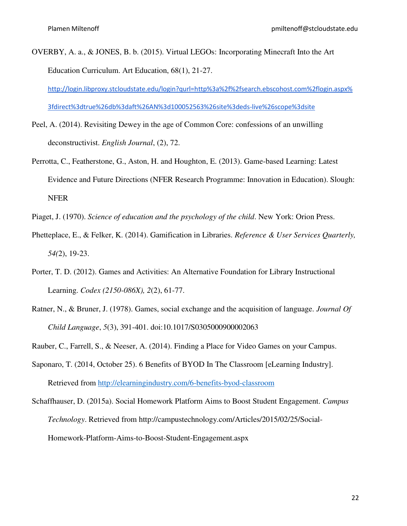OVERBY, A. a., & JONES, B. b. (2015). Virtual LEGOs: Incorporating Minecraft Into the Art Education Curriculum. Art Education, 68(1), 21-27.

http://login.libproxy.stcloudstate.edu/login?qurl=http%3a%2f%2fsearch.ebscohost.com%2flogin.aspx% 3fdirect%3dtrue%26db%3daft%26AN%3d100052563%26site%3deds-live%26scope%3dsite

- Peel, A. (2014). Revisiting Dewey in the age of Common Core: confessions of an unwilling deconstructivist. *English Journal*, (2), 72.
- Perrotta, C., Featherstone, G., Aston, H. and Houghton, E. (2013). Game-based Learning: Latest Evidence and Future Directions (NFER Research Programme: Innovation in Education). Slough: NFER
- Piaget, J. (1970). *Science of education and the psychology of the child*. New York: Orion Press.
- Phetteplace, E., & Felker, K. (2014). Gamification in Libraries. *Reference & User Services Quarterly, 54(*2), 19-23.
- Porter, T. D. (2012). Games and Activities: An Alternative Foundation for Library Instructional Learning. *Codex (2150-086X), 2*(2), 61-77.
- Ratner, N., & Bruner, J. (1978). Games, social exchange and the acquisition of language. *Journal Of Child Language*, *5*(3), 391-401. doi:10.1017/S0305000900002063
- Rauber, C., Farrell, S., & Neeser, A. (2014). Finding a Place for Video Games on your Campus.
- Saponaro, T. (2014, October 25). 6 Benefits of BYOD In The Classroom [eLearning Industry]. Retrieved from http://elearningindustry.com/6-benefits-byod-classroom
- Schaffhauser, D. (2015a). Social Homework Platform Aims to Boost Student Engagement. *Campus Technology*. Retrieved from http://campustechnology.com/Articles/2015/02/25/Social-Homework-Platform-Aims-to-Boost-Student-Engagement.aspx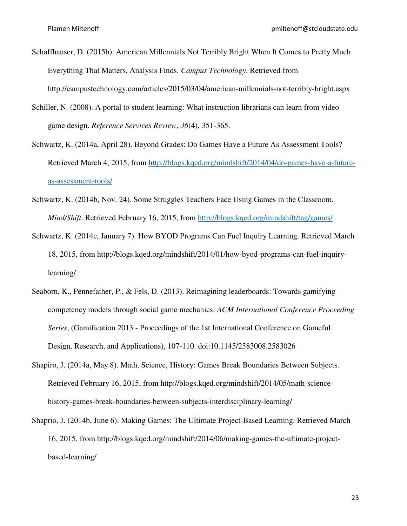- Schaffhauser, D. (2015b). American Millennials Not Terribly Bright When It Comes to Pretty Much Everything That Matters, Analysis Finds. *Campus Technology*. Retrieved from http://campustechnology.com/articles/2015/03/04/american-millennials-not-terribly-bright.aspx
- Schiller, N. (2008). A portal to student learning: What instruction librarians can learn from video game design. *Reference Services Review*, *36*(4), 351-365.
- Schwartz, K. (2014a, April 28). Beyond Grades: Do Games Have a Future As Assessment Tools? Retrieved March 4, 2015, from http://blogs.kqed.org/mindshift/2014/04/do-games-have-a-futureas-assessment-tools/
- Schwartz, K. (2014b, Nov. 24). Some Struggles Teachers Face Using Games in the Classroom. *Mind/Shift*. Retrieved February 16, 2015, from http://blogs.kqed.org/mindshift/tag/games/
- Schwartz, K. (2014c, January 7). How BYOD Programs Can Fuel Inquiry Learning. Retrieved March 18, 2015, from http://blogs.kqed.org/mindshift/2014/01/how-byod-programs-can-fuel-inquirylearning/
- Seaborn, K., Pennefather, P., & Fels, D. (2013). Reimagining leaderboards: Towards gamifying competency models through social game mechanics. *ACM International Conference Proceeding Series*, (Gamification 2013 - Proceedings of the 1st International Conference on Gameful Design, Research, and Applications), 107-110. doi:10.1145/2583008.2583026
- Shapiro, J. (2014a, May 8). Math, Science, History: Games Break Boundaries Between Subjects. Retrieved February 16, 2015, from http://blogs.kqed.org/mindshift/2014/05/math-sciencehistory-games-break-boundaries-between-subjects-interdisciplinary-learning/
- Shaprio, J. (2014b, June 6). Making Games: The Ultimate Project-Based Learning. Retrieved March 16, 2015, from http://blogs.kqed.org/mindshift/2014/06/making-games-the-ultimate-projectbased-learning/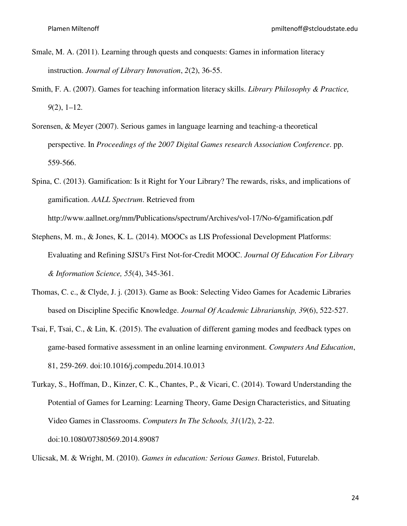- Smale, M. A. (2011). Learning through quests and conquests: Games in information literacy instruction. *Journal of Library Innovation*, *2*(2), 36-55.
- Smith, F. A. (2007). Games for teaching information literacy skills. *Library Philosophy & Practice, 9*(2), 1–12.
- Sorensen, & Meyer (2007). Serious games in language learning and teaching-a theoretical perspective. In *Proceedings of the 2007 Digital Games research Association Conference*. pp. 559-566.
- Spina, C. (2013). Gamification: Is it Right for Your Library? The rewards, risks, and implications of gamification. *AALL Spectrum*. Retrieved from http://www.aallnet.org/mm/Publications/spectrum/Archives/vol-17/No-6/gamification.pdf
- Stephens, M. m., & Jones, K. L. (2014). MOOCs as LIS Professional Development Platforms: Evaluating and Refining SJSU's First Not-for-Credit MOOC. *Journal Of Education For Library & Information Science, 55*(4), 345-361.
- Thomas, C. c., & Clyde, J. j. (2013). Game as Book: Selecting Video Games for Academic Libraries based on Discipline Specific Knowledge. *Journal Of Academic Librarianship, 39*(6), 522-527.
- Tsai, F, Tsai, C., & Lin, K. (2015). The evaluation of different gaming modes and feedback types on game-based formative assessment in an online learning environment. *Computers And Education*, 81, 259-269. doi:10.1016/j.compedu.2014.10.013
- Turkay, S., Hoffman, D., Kinzer, C. K., Chantes, P., & Vicari, C. (2014). Toward Understanding the Potential of Games for Learning: Learning Theory, Game Design Characteristics, and Situating Video Games in Classrooms. *Computers In The Schools, 31*(1/2), 2-22. doi:10.1080/07380569.2014.89087

Ulicsak, M. & Wright, M. (2010). *Games in education: Serious Games*. Bristol, Futurelab.